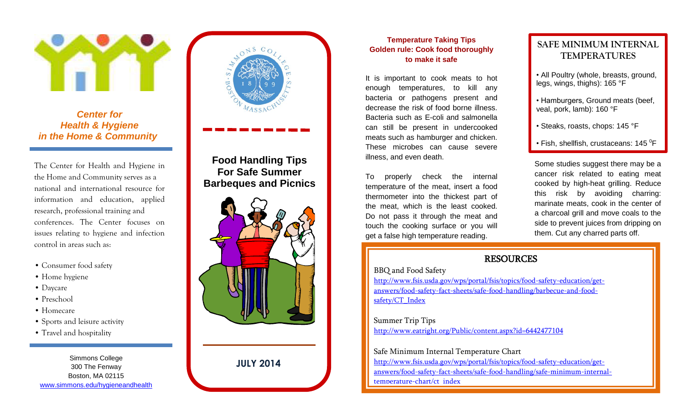

**Center for**  *Health & Hygiene in the Home & Community*  Center for<br>Ilth & Hygiene<br><sub>D</sub>me & Community

l

The Center for Health and Hygiene in issues relating to hygiene and infection The Center for Health and Hygiene in **Food Handling Tips**<br>the Home and Community serves as a **Barbeques and Picnics national and international resource for** information and education, applied research, professional training and conferences. The Center focuses on control in areas such as:

- Consumer food safety
- Home hygiene
- Daycare
- Preschool
- Homecare
- Sports and leisure activity
- Travel and hospitality

Simmons College **JULY 2014** Boston, MA 02115 [www.simmons.edu/hygieneandhealth](file:///C:/Users/Sonia/Desktop/www.simmons.edu/hygieneandhealth) 





## **Temperature Taking Tips Golden rule: Cook food thoroughly to make it safe**

 It is important to cook meats to hot decrease the risk of food borne illness. can still be present in undercooked illness, and even death. enough temperatures, to kill any bacteria or pathogens present and Bacteria such as E-coli and salmonella meats such as hamburger and chicken. These microbes can cause severe

temperature of the meat, insert a food cooked by high-heat grilling. Reduce the meat, which is the least cooked. The marinate meats, cook in the center of Do not pass it through the meat and get a false high temperature reading. Them. Cut any charred parts off. thermometer into the thickest part of touch the cooking surface or you will

# **SAFE MINIMUM INTERNAL TEMPERATURES**

- legs, wings, thighs): 165 °F • All Poultry (whole, breasts, ground,
- veal, pork, lamb): 160 °F • Hamburgers, Ground meats (beef,
- Steaks, roasts, chops: 145 °F
- Fish, shellfish, crustaceans: 145  $\mathrm{^0F}$

 Some studies suggest there may be a To properly check the internal and cancer risk related to eating meat cooked by high-heat grilling. Reduce this risk by avoiding charring: marinate meats, cook in the center of a charcoal grill and move coals to the side to prevent juices from dripping on them. Cut any charred parts off.

## **RESOURCES**

BBQ and Food Safety

[http://www.fsis.usda.gov/wps/portal/fsis/topics/food-safety-education/get](http://www.fsis.usda.gov/wps/portal/fsis/topics/food-safety-education/get-answers/food-safety-fact-sheets/safe-food-handling/barbecue-and-food-safety/CT_Index)[answers/food-safety-fact-sheets/safe-food-handling/barbecue-and-food](http://www.fsis.usda.gov/wps/portal/fsis/topics/food-safety-education/get-answers/food-safety-fact-sheets/safe-food-handling/barbecue-and-food-safety/CT_Index)safety/CT\_Index

Summer Trip Tips <http://www.eatright.org/Public/content.aspx?id=6442477104>

Safe Minimum Internal Temperature Chart [http://www.fsis.usda.gov/wps/portal/fsis/topics/food-safety-education/get](http://www.fsis.usda.gov/wps/portal/fsis/topics/food-safety-education/get-answers/food-safety-fact-sheets/safe-food-handling/safe-minimum-internal-temperature-chart/ct_index)[answers/food-safety-fact-sheets/safe-food-handling/safe-minimum-internal](http://www.fsis.usda.gov/wps/portal/fsis/topics/food-safety-education/get-answers/food-safety-fact-sheets/safe-food-handling/safe-minimum-internal-temperature-chart/ct_index)[temperature-chart/ct\\_index](http://www.fsis.usda.gov/wps/portal/fsis/topics/food-safety-education/get-answers/food-safety-fact-sheets/safe-food-handling/safe-minimum-internal-temperature-chart/ct_index)